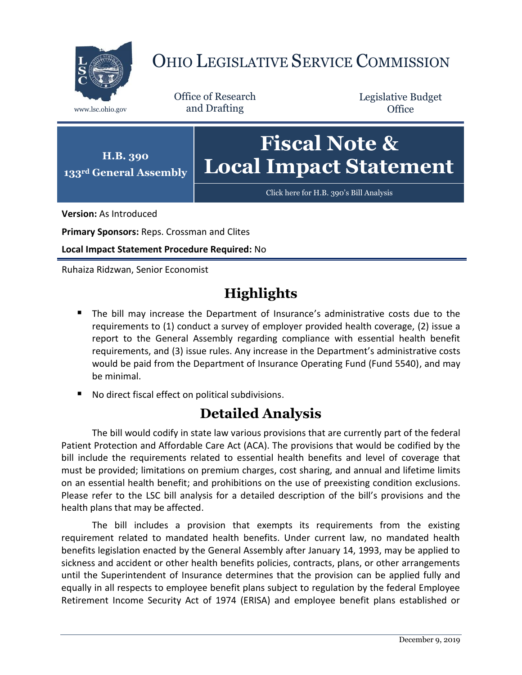

## OHIO LEGISLATIVE SERVICE COMMISSION

Office of Research www.lsc.ohio.gov and Drafting

Legislative Budget **Office** 



**Version:** As Introduced

**Primary Sponsors:** Reps. Crossman and Clites

**Local Impact Statement Procedure Required:** No

Ruhaiza Ridzwan, Senior Economist

## **Highlights**

- The bill may increase the Department of Insurance's administrative costs due to the requirements to (1) conduct a survey of employer provided health coverage, (2) issue a report to the General Assembly regarding compliance with essential health benefit requirements, and (3) issue rules. Any increase in the Department's administrative costs would be paid from the Department of Insurance Operating Fund (Fund 5540), and may be minimal.
- No direct fiscal effect on political subdivisions.

## **Detailed Analysis**

The bill would codify in state law various provisions that are currently part of the federal Patient Protection and Affordable Care Act (ACA). The provisions that would be codified by the bill include the requirements related to essential health benefits and level of coverage that must be provided; limitations on premium charges, cost sharing, and annual and lifetime limits on an essential health benefit; and prohibitions on the use of preexisting condition exclusions. Please refer to the LSC bill analysis for a detailed description of the bill's provisions and the health plans that may be affected.

The bill includes a provision that exempts its requirements from the existing requirement related to mandated health benefits. Under current law, no mandated health benefits legislation enacted by the General Assembly after January 14, 1993, may be applied to sickness and accident or other health benefits policies, contracts, plans, or other arrangements until the Superintendent of Insurance determines that the provision can be applied fully and equally in all respects to employee benefit plans subject to regulation by the federal Employee Retirement Income Security Act of 1974 (ERISA) and employee benefit plans established or